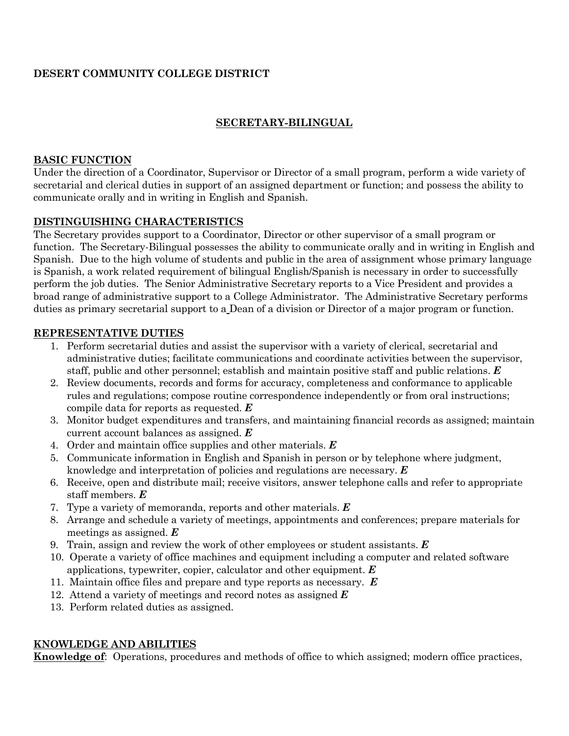# **DESERT COMMUNITY COLLEGE DISTRICT**

# **SECRETARY-BILINGUAL**

### **BASIC FUNCTION**

Under the direction of a Coordinator, Supervisor or Director of a small program, perform a wide variety of secretarial and clerical duties in support of an assigned department or function; and possess the ability to communicate orally and in writing in English and Spanish.

## **DISTINGUISHING CHARACTERISTICS**

The Secretary provides support to a Coordinator, Director or other supervisor of a small program or function. The Secretary-Bilingual possesses the ability to communicate orally and in writing in English and Spanish. Due to the high volume of students and public in the area of assignment whose primary language is Spanish, a work related requirement of bilingual English/Spanish is necessary in order to successfully perform the job duties. The Senior Administrative Secretary reports to a Vice President and provides a broad range of administrative support to a College Administrator. The Administrative Secretary performs duties as primary secretarial support to a Dean of a division or Director of a major program or function.

### **REPRESENTATIVE DUTIES**

- 1. Perform secretarial duties and assist the supervisor with a variety of clerical, secretarial and administrative duties; facilitate communications and coordinate activities between the supervisor, staff, public and other personnel; establish and maintain positive staff and public relations. *E*
- 2. Review documents, records and forms for accuracy, completeness and conformance to applicable rules and regulations; compose routine correspondence independently or from oral instructions; compile data for reports as requested. *E*
- 3. Monitor budget expenditures and transfers, and maintaining financial records as assigned; maintain current account balances as assigned. *E*
- 4. Order and maintain office supplies and other materials. *E*
- 5. Communicate information in English and Spanish in person or by telephone where judgment, knowledge and interpretation of policies and regulations are necessary. *E*
- 6. Receive, open and distribute mail; receive visitors, answer telephone calls and refer to appropriate staff members. *E*
- 7. Type a variety of memoranda, reports and other materials. *E*
- 8. Arrange and schedule a variety of meetings, appointments and conferences; prepare materials for meetings as assigned. *E*
- 9. Train, assign and review the work of other employees or student assistants. *E*
- 10. Operate a variety of office machines and equipment including a computer and related software applications, typewriter, copier, calculator and other equipment. *E*
- 11. Maintain office files and prepare and type reports as necessary. *E*
- 12. Attend a variety of meetings and record notes as assigned *E*
- 13. Perform related duties as assigned.

## **KNOWLEDGE AND ABILITIES**

**Knowledge of**: Operations, procedures and methods of office to which assigned; modern office practices,